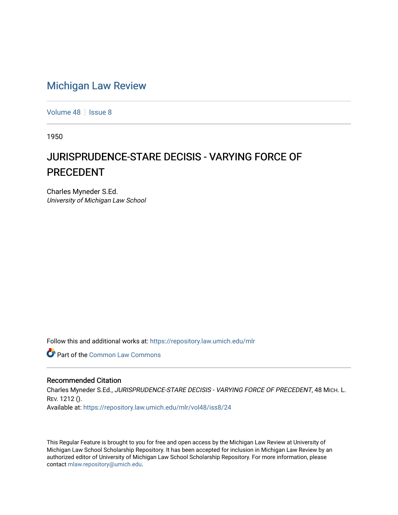## [Michigan Law Review](https://repository.law.umich.edu/mlr)

[Volume 48](https://repository.law.umich.edu/mlr/vol48) | [Issue 8](https://repository.law.umich.edu/mlr/vol48/iss8)

1950

## JURISPRUDENCE-STARE DECISIS - VARYING FORCE OF PRECEDENT

Charles Myneder S.Ed. University of Michigan Law School

Follow this and additional works at: [https://repository.law.umich.edu/mlr](https://repository.law.umich.edu/mlr?utm_source=repository.law.umich.edu%2Fmlr%2Fvol48%2Fiss8%2F24&utm_medium=PDF&utm_campaign=PDFCoverPages) 

**Part of the Common Law Commons** 

## Recommended Citation

Charles Myneder S.Ed., JURISPRUDENCE-STARE DECISIS - VARYING FORCE OF PRECEDENT, 48 MICH. L. REV. 1212 (). Available at: [https://repository.law.umich.edu/mlr/vol48/iss8/24](https://repository.law.umich.edu/mlr/vol48/iss8/24?utm_source=repository.law.umich.edu%2Fmlr%2Fvol48%2Fiss8%2F24&utm_medium=PDF&utm_campaign=PDFCoverPages) 

This Regular Feature is brought to you for free and open access by the Michigan Law Review at University of Michigan Law School Scholarship Repository. It has been accepted for inclusion in Michigan Law Review by an authorized editor of University of Michigan Law School Scholarship Repository. For more information, please contact [mlaw.repository@umich.edu](mailto:mlaw.repository@umich.edu).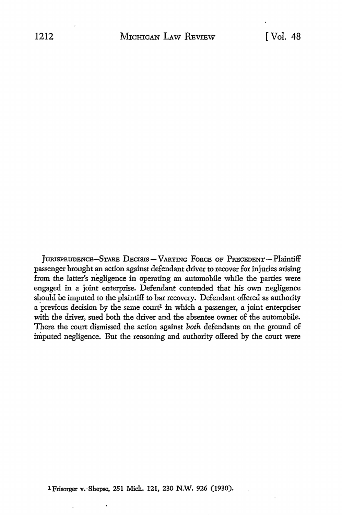JURISPRUDENCE-STARE DECISIS - VARYING FORCE OF PRECEDENT-Plaintiff passenger brought an action against defendant driver to recover for injuries arising from the latter's negligence in operating an automobile while the parties were engaged in a joint enterprise. Defendant contended that his own negligence should be imputed *to* the plaintiff *to* bar recovery. Defendant offered as authority a previous decision by the same court<sup>1</sup> in which a passenger, a joint enterpriser with the driver, sued both the driver and the absentee owner of the automobile. There the court dismissed the action against *both* defendants on the ground of imputed negligence. But the reasoning and authority offered by the court were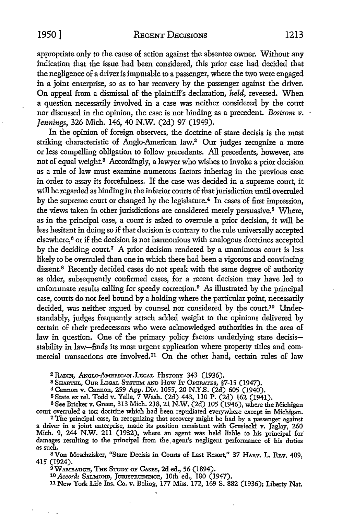1950] RECENT DECISIONS 1213

appropriate only to the cause of action against the absentee owner. Without any indication that the issue had been considered, this prior case had decided that the negligence of a driver is imputable to a passenger, where the two were engaged in a joint enterprise, so as to bar recovery by the passenger against the driver. On appeal from a dismissal of the plaintiff's declaration, *held,* reversed. When a question necessarily involved in a case was neither considered by the court nor discussed in the opinion, the case is not binding as a precedent. *Bostrom v. Jennings,* 326 Mich. 146, 40 N.W. (2d) 97 (1949).

In the opinion of foreign observers, the doctrine of stare decisis is the most striking characteristic of Anglo-American law.<sup>2</sup> Our judges recognize a more or less compelling obligation to follow precedents. All precedents, however, are not of equal weight.8 Accordingly, a lawyer who wishes to invoke a prior decision as a rule of law must examine numerous factors inhering in the previous case in order to assay its forcefulness. If the case was decided in a supreme court, it will be regarded as binding in the inferior courts of that jurisdiction until overruled by the supreme court or changed by the legislature.<sup>4</sup> In cases of first impression, the views taken in other jurisdictions are considered merely persuasive.<sup>5</sup> Where, as in the principal case, a court is asked to overrule a prior decision, it will be less hesitant in doing so if that decision is contrary to the rule universally accepted elsewhere, 6 or if the decision is not harmonious with analogous doctrines accepted by the deciding court.<sup>7</sup> A prior decision rendered by a unanimous court is less likely to be overruled than one in which there had been a vigorous and convincing dissent.<sup>8</sup> Recently decided cases do not speak with the same degree of authority as older, subsequently confirmed cases, for a recent decision may have led to unfortunate results calling for speedy correction.<sup>9</sup> As illustrated by the principal case, courts do not feel bound by a holding where the particular point, necessarily decided, was neither argued by counsel nor considered by the court.<sup>10</sup> Understandably, judges frequently attach added weight to the opinions delivered by certain of their predecessors who were acknowledged authorities in the area of law in question. One of the primary policy factors underlying stare decisisstability in law-finds its most urgent application where property titles and commercial transactions are involved.11 On the other hand, certain rules of law

<sup>2</sup> RADIN, ANGLO-AMERICAN .LEGAL HISTORY 343 (1936).

s SHARTEL, Otm LEGAL SYSTEM AND How IT OPERATES, §7-15 (1947).

<sup>4</sup>Cannon v. Cannon, 259 App. Div. 1055, 20 N.Y.S. (2d) 605 (1940).

5 State ex rel. Todd v. Yelle, 7 Wash. (2d) 443, 110 P. (2d) 162 (1941).

<sup>6</sup> See Bricker v. Green, 313 Mich. 218, 21 N.W. (2d) 105 (1946), where the Michigan court overruled a tort doctrine which had been repudiated everywhere except in Michigan.

<sup>7</sup>The principal case, in recognizing that recovery might be had by a passenger against a driver in a joint enterprise, made its position consistent with Grusiecki v. Jaglay, 260 Mich. 9, 244 **N.W.** 211 (1932), where an agent was held liable to his principal for damages resulting to the principal from the. agent's negligent performance of his duties as such.

<sup>8</sup>Von Moschzisker, "Stare Decisis in Courts of Last Resort," 37 HARv. L. REv. 409, 415 (1924).

 $9$  WAMBAUGH, THE STUDY OF CASES, 2d ed., 56 (1894).

10 *Accord:* SALMOND, JumsPRUDENcE, 10th ed., 180 (1947).

llNew York Life Ins. Co. v. Boling, 177 Miss. 172, 169 S. 882 (1936); Liberty Nat.